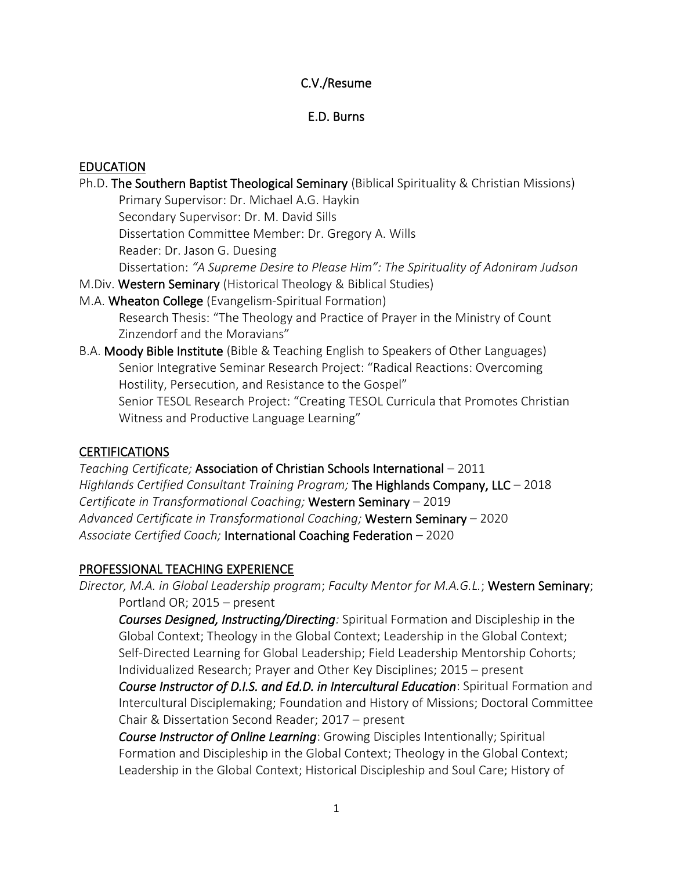# C.V./Resume

# E.D. Burns

## **EDUCATION**

- Ph.D. The Southern Baptist Theological Seminary (Biblical Spirituality & Christian Missions) Primary Supervisor: Dr. Michael A.G. Haykin Secondary Supervisor: Dr. M. David Sills Dissertation Committee Member: Dr. Gregory A. Wills Reader: Dr. Jason G. Duesing Dissertation: *"A Supreme Desire to Please Him": The Spirituality of Adoniram Judson* M.Div. Western Seminary (Historical Theology & Biblical Studies) M.A. Wheaton College (Evangelism-Spiritual Formation) Research Thesis: "The Theology and Practice of Prayer in the Ministry of Count Zinzendorf and the Moravians"
- B.A. Moody Bible Institute (Bible & Teaching English to Speakers of Other Languages) Senior Integrative Seminar Research Project: "Radical Reactions: Overcoming Hostility, Persecution, and Resistance to the Gospel" Senior TESOL Research Project: "Creating TESOL Curricula that Promotes Christian Witness and Productive Language Learning"

# CERTIFICATIONS

*Teaching Certificate;* Association of Christian Schools International – 2011 *Highlands Certified Consultant Training Program;* The Highlands Company, LLC – 2018 *Certificate in Transformational Coaching;* Western Seminary – 2019 *Advanced Certificate in Transformational Coaching;* Western Seminary – 2020 *Associate Certified Coach;* International Coaching Federation – 2020

# PROFESSIONAL TEACHING EXPERIENCE

*Director, M.A. in Global Leadership program*; *Faculty Mentor for M.A.G.L.*; Western Seminary; Portland OR; 2015 – present

*Courses Designed, Instructing/Directing:* Spiritual Formation and Discipleship in the Global Context; Theology in the Global Context; Leadership in the Global Context; Self-Directed Learning for Global Leadership; Field Leadership Mentorship Cohorts; Individualized Research; Prayer and Other Key Disciplines; 2015 – present

*Course Instructor of D.I.S. and Ed.D. in Intercultural Education*: Spiritual Formation and Intercultural Disciplemaking; Foundation and History of Missions; Doctoral Committee Chair & Dissertation Second Reader; 2017 – present

*Course Instructor of Online Learning*: Growing Disciples Intentionally; Spiritual Formation and Discipleship in the Global Context; Theology in the Global Context; Leadership in the Global Context; Historical Discipleship and Soul Care; History of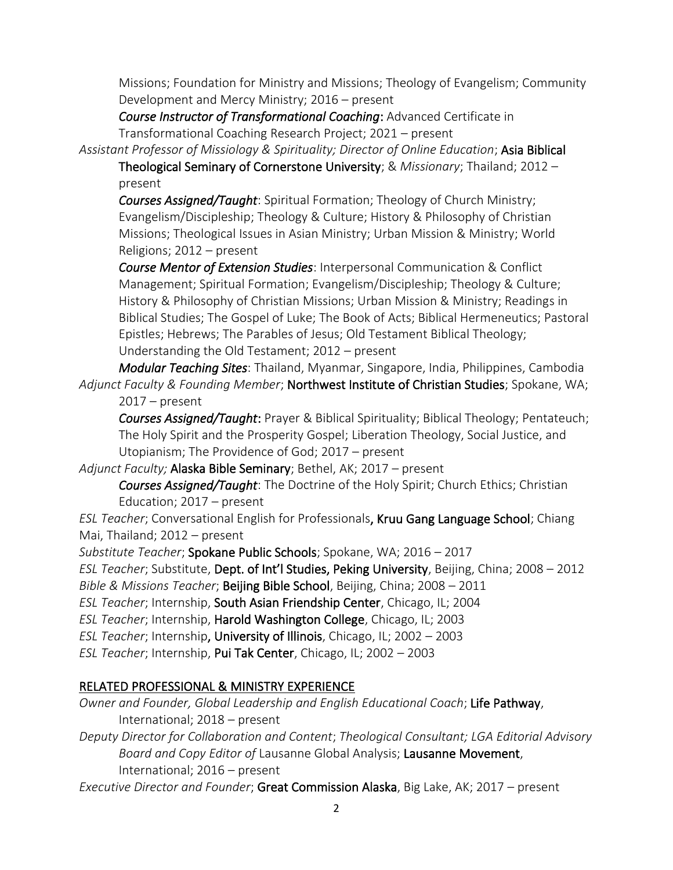Missions; Foundation for Ministry and Missions; Theology of Evangelism; Community Development and Mercy Ministry; 2016 – present

*Course Instructor of Transformational Coaching*: Advanced Certificate in Transformational Coaching Research Project; 2021 – present

*Assistant Professor of Missiology & Spirituality; Director of Online Education*; Asia Biblical

Theological Seminary of Cornerstone University; & *Missionary*; Thailand; 2012 – present

*Courses Assigned/Taught*: Spiritual Formation; Theology of Church Ministry; Evangelism/Discipleship; Theology & Culture; History & Philosophy of Christian Missions; Theological Issues in Asian Ministry; Urban Mission & Ministry; World Religions; 2012 – present

*Course Mentor of Extension Studies*: Interpersonal Communication & Conflict Management; Spiritual Formation; Evangelism/Discipleship; Theology & Culture; History & Philosophy of Christian Missions; Urban Mission & Ministry; Readings in Biblical Studies; The Gospel of Luke; The Book of Acts; Biblical Hermeneutics; Pastoral Epistles; Hebrews; The Parables of Jesus; Old Testament Biblical Theology; Understanding the Old Testament; 2012 – present

*Modular Teaching Sites*: Thailand, Myanmar, Singapore, India, Philippines, Cambodia *Adjunct Faculty & Founding Member*; Northwest Institute of Christian Studies; Spokane, WA; 2017 – present

*Courses Assigned/Taught*: Prayer & Biblical Spirituality; Biblical Theology; Pentateuch; The Holy Spirit and the Prosperity Gospel; Liberation Theology, Social Justice, and Utopianism; The Providence of God; 2017 – present

*Adjunct Faculty;* Alaska Bible Seminary; Bethel, AK; 2017 – present

*Courses Assigned/Taught*: The Doctrine of the Holy Spirit; Church Ethics; Christian Education; 2017 – present

*ESL Teacher*; Conversational English for Professionals, Kruu Gang Language School; Chiang Mai, Thailand; 2012 – present

*Substitute Teacher*; Spokane Public Schools; Spokane, WA; 2016 – 2017

*ESL Teacher*; Substitute, Dept. of Int'l Studies, Peking University, Beijing, China; 2008 – 2012 *Bible & Missions Teacher*; Beijing Bible School, Beijing, China; 2008 – 2011

*ESL Teacher*; Internship, South Asian Friendship Center, Chicago, IL; 2004

*ESL Teacher*; Internship, Harold Washington College, Chicago, IL; 2003

*ESL Teacher*; Internship, University of Illinois, Chicago, IL; 2002 – 2003

*ESL Teacher*; Internship, Pui Tak Center, Chicago, IL; 2002 – 2003

# RELATED PROFESSIONAL & MINISTRY EXPERIENCE

*Owner and Founder, Global Leadership and English Educational Coach*; Life Pathway, International; 2018 – present

*Deputy Director for Collaboration and Content*; *Theological Consultant; LGA Editorial Advisory Board and Copy Editor of* Lausanne Global Analysis; Lausanne Movement, International; 2016 – present

*Executive Director and Founder*; Great Commission Alaska, Big Lake, AK; 2017 – present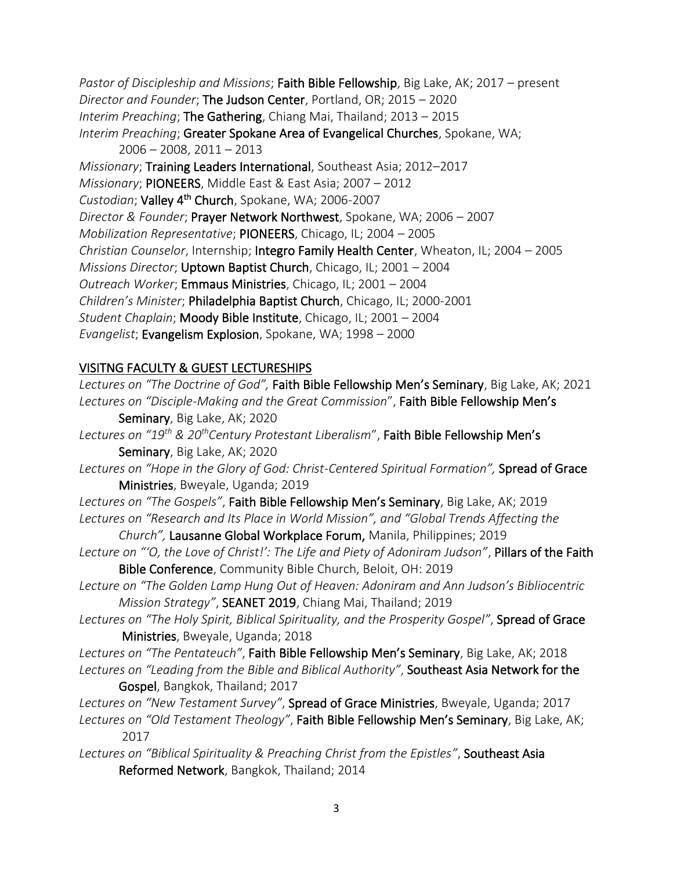*Pastor of Discipleship and Missions*; Faith Bible Fellowship, Big Lake, AK; 2017 – present *Director and Founder*; The Judson Center, Portland, OR; 2015 – 2020 *Interim Preaching*; The Gathering, Chiang Mai, Thailand; 2013 – 2015 *Interim Preaching*; Greater Spokane Area of Evangelical Churches, Spokane, WA; 2006 – 2008, 2011 – 2013 *Missionary*; Training Leaders International, Southeast Asia; 2012–2017 *Missionary*; PIONEERS, Middle East & East Asia; 2007 – 2012 *Custodian*; Valley 4th Church, Spokane, WA; 2006-2007 *Director & Founder*; Prayer Network Northwest, Spokane, WA; 2006 – 2007

*Mobilization Representative*; PIONEERS, Chicago, IL; 2004 – 2005 *Christian Counselor*, Internship; Integro Family Health Center, Wheaton, IL; 2004 – 2005

*Missions Director*; Uptown Baptist Church, Chicago, IL; 2001 – 2004

*Outreach Worker*; Emmaus Ministries, Chicago, IL; 2001 – 2004

*Children's Minister*; Philadelphia Baptist Church, Chicago, IL; 2000-2001

*Student Chaplain*; Moody Bible Institute, Chicago, IL; 2001 – 2004

*Evangelist*; Evangelism Explosion, Spokane, WA; 1998 – 2000

# VISITNG FACULTY & GUEST LECTURESHIPS

| Lectures on "The Doctrine of God", Faith Bible Fellowship Men's Seminary, Big Lake, AK; 2021                  |
|---------------------------------------------------------------------------------------------------------------|
| Lectures on "Disciple-Making and the Great Commission", Faith Bible Fellowship Men's                          |
| Seminary, Big Lake, AK; 2020                                                                                  |
| Lectures on "19 <sup>th</sup> & 20 <sup>th</sup> Century Protestant Liberalism", Faith Bible Fellowship Men's |
| Seminary, Big Lake, AK; 2020                                                                                  |
| Lectures on "Hope in the Glory of God: Christ-Centered Spiritual Formation", Spread of Grace                  |
| Ministries, Bweyale, Uganda; 2019                                                                             |
| Lectures on "The Gospels", Faith Bible Fellowship Men's Seminary, Big Lake, AK; 2019                          |
| Lectures on "Research and Its Place in World Mission", and "Global Trends Affecting the                       |
| Church", Lausanne Global Workplace Forum, Manila, Philippines; 2019                                           |
| Lecture on "O, the Love of Christ!': The Life and Piety of Adoniram Judson", Pillars of the Faith             |
| Bible Conference, Community Bible Church, Beloit, OH: 2019                                                    |
| Lecture on "The Golden Lamp Hung Out of Heaven: Adoniram and Ann Judson's Bibliocentric                       |
| Mission Strategy", SEANET 2019, Chiang Mai, Thailand; 2019                                                    |
| Lectures on "The Holy Spirit, Biblical Spirituality, and the Prosperity Gospel", Spread of Grace              |
| Ministries, Bweyale, Uganda; 2018                                                                             |
| Lectures on "The Pentateuch", Faith Bible Fellowship Men's Seminary, Big Lake, AK; 2018                       |
| Lectures on "Leading from the Bible and Biblical Authority", Southeast Asia Network for the                   |
| Gospel, Bangkok, Thailand; 2017                                                                               |
| Lectures on "New Testament Survey", Spread of Grace Ministries, Bweyale, Uganda; 2017                         |
| Lectures on "Old Testament Theology", Faith Bible Fellowship Men's Seminary, Big Lake, AK;<br>2017            |
| Loctures on "Diplical Spirituality & Dreashing Christ from the Epistles" Southoast Asia                       |

*Lectures on "Biblical Spirituality & Preaching Christ from the Epistles"*, Southeast Asia Reformed Network, Bangkok, Thailand; 2014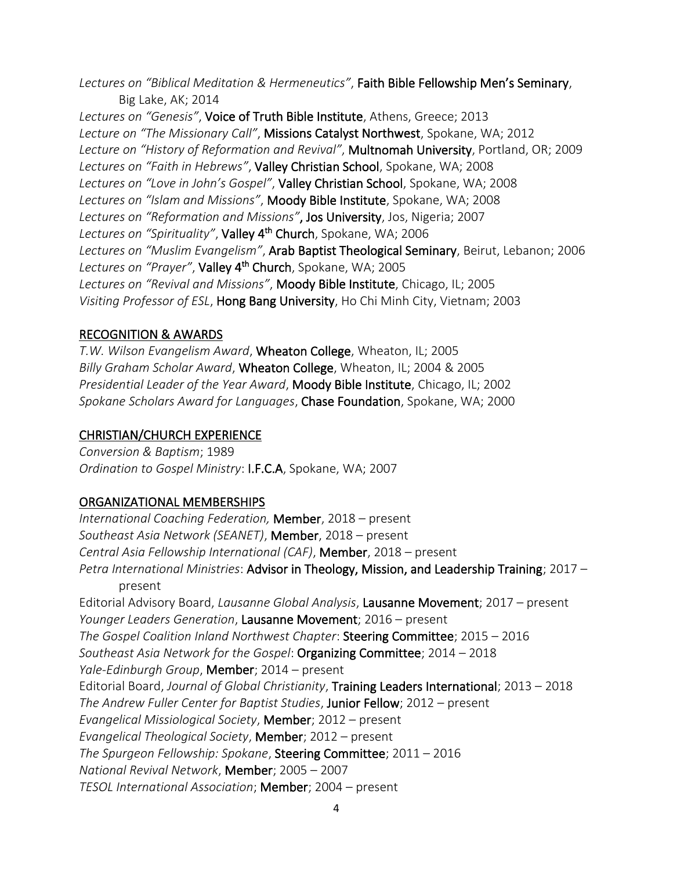*Lectures on "Biblical Meditation & Hermeneutics"*, Faith Bible Fellowship Men's Seminary, Big Lake, AK; 2014

*Lectures on "Genesis"*, Voice of Truth Bible Institute, Athens, Greece; 2013 *Lecture on "The Missionary Call"*, Missions Catalyst Northwest, Spokane, WA; 2012 *Lecture on "History of Reformation and Revival"*, Multnomah University, Portland, OR; 2009 *Lectures on "Faith in Hebrews"*, Valley Christian School, Spokane, WA; 2008 *Lectures on "Love in John's Gospel"*, Valley Christian School, Spokane, WA; 2008 *Lectures on "Islam and Missions"*, Moody Bible Institute, Spokane, WA; 2008 *Lectures on "Reformation and Missions"*, Jos University, Jos, Nigeria; 2007 *Lectures on "Spirituality"*, Valley 4th Church, Spokane, WA; 2006 *Lectures on "Muslim Evangelism"*, Arab Baptist Theological Seminary, Beirut, Lebanon; 2006 *Lectures on "Prayer"*, Valley 4th Church, Spokane, WA; 2005 *Lectures on "Revival and Missions"*, Moody Bible Institute, Chicago, IL; 2005 *Visiting Professor of ESL*, Hong Bang University, Ho Chi Minh City, Vietnam; 2003

## RECOGNITION & AWARDS

*T.W. Wilson Evangelism Award*, Wheaton College, Wheaton, IL; 2005 *Billy Graham Scholar Award*, Wheaton College, Wheaton, IL; 2004 & 2005 *Presidential Leader of the Year Award*, Moody Bible Institute, Chicago, IL; 2002 *Spokane Scholars Award for Languages*, Chase Foundation, Spokane, WA; 2000

## CHRISTIAN/CHURCH EXPERIENCE

*Conversion & Baptism*; 1989 *Ordination to Gospel Ministry*: I.F.C.A, Spokane, WA; 2007

# ORGANIZATIONAL MEMBERSHIPS

*International Coaching Federation,* Member, 2018 – present *Southeast Asia Network (SEANET)*, Member, 2018 – present *Central Asia Fellowship International (CAF)*, Member, 2018 – present *Petra International Ministries*: Advisor in Theology, Mission, and Leadership Training; 2017 – present Editorial Advisory Board, *Lausanne Global Analysis*, Lausanne Movement; 2017 – present *Younger Leaders Generation*, Lausanne Movement; 2016 – present *The Gospel Coalition Inland Northwest Chapter*: Steering Committee; 2015 – 2016 *Southeast Asia Network for the Gospel*: Organizing Committee; 2014 – 2018 *Yale-Edinburgh Group*, Member; 2014 – present Editorial Board, *Journal of Global Christianity*, Training Leaders International; 2013 – 2018 *The Andrew Fuller Center for Baptist Studies*, Junior Fellow; 2012 – present *Evangelical Missiological Society*, Member; 2012 – present *Evangelical Theological Society*, Member; 2012 – present *The Spurgeon Fellowship: Spokane*, Steering Committee; 2011 – 2016 *National Revival Network*, Member; 2005 – 2007 *TESOL International Association*; Member; 2004 – present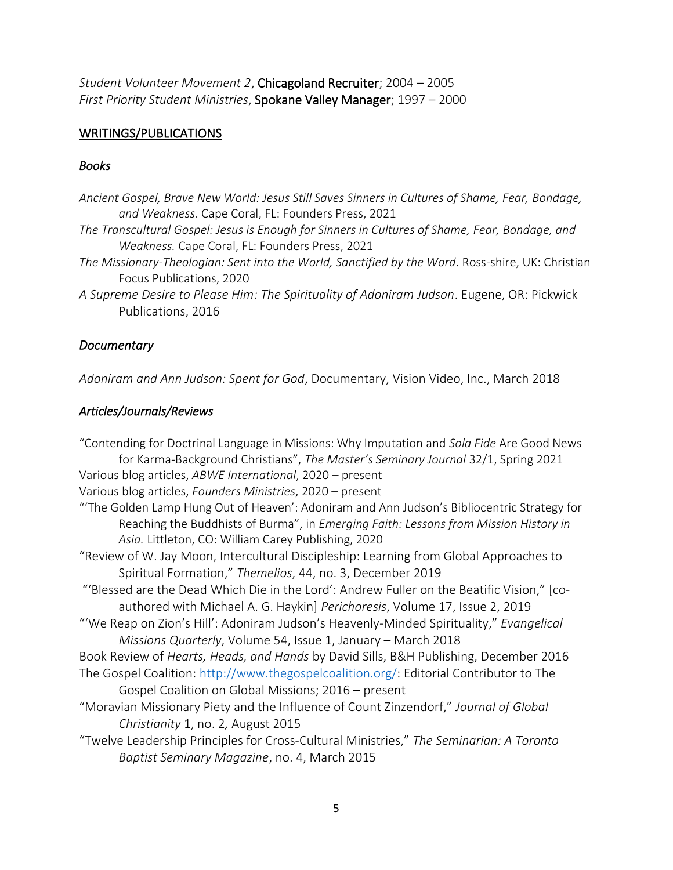*Student Volunteer Movement 2*, Chicagoland Recruiter; 2004 – 2005 *First Priority Student Ministries*, Spokane Valley Manager; 1997 – 2000

#### WRITINGS/PUBLICATIONS

#### *Books*

*Ancient Gospel, Brave New World: Jesus Still Saves Sinners in Cultures of Shame, Fear, Bondage, and Weakness*. Cape Coral, FL: Founders Press, 2021

- *The Transcultural Gospel: Jesus is Enough for Sinners in Cultures of Shame, Fear, Bondage, and Weakness.* Cape Coral, FL: Founders Press, 2021
- *The Missionary-Theologian: Sent into the World, Sanctified by the Word*. Ross-shire, UK: Christian Focus Publications, 2020
- *A Supreme Desire to Please Him: The Spirituality of Adoniram Judson*. Eugene, OR: Pickwick Publications, 2016

#### *Documentary*

*Adoniram and Ann Judson: Spent for God*, Documentary, Vision Video, Inc., March 2018

#### *Articles/Journals/Reviews*

"Contending for Doctrinal Language in Missions: Why Imputation and *Sola Fide* Are Good News for Karma-Background Christians", *The Master's Seminary Journal* 32/1, Spring 2021 Various blog articles, *ABWE International*, 2020 – present Various blog articles, *Founders Ministries*, 2020 – present "'The Golden Lamp Hung Out of Heaven': Adoniram and Ann Judson's Bibliocentric Strategy for Reaching the Buddhists of Burma", in *Emerging Faith: Lessons from Mission History in Asia.* Littleton, CO: William Carey Publishing, 2020 "Review of W. Jay Moon, Intercultural Discipleship: Learning from Global Approaches to Spiritual Formation," *Themelios*, 44, no. 3, December 2019 "'Blessed are the Dead Which Die in the Lord': Andrew Fuller on the Beatific Vision," [coauthored with Michael A. G. Haykin] *Perichoresis*, Volume 17, Issue 2, 2019 "'We Reap on Zion's Hill': Adoniram Judson's Heavenly-Minded Spirituality," *Evangelical Missions Quarterly*, Volume 54, Issue 1, January – March 2018 Book Review of *Hearts, Heads, and Hands* by David Sills, B&H Publishing, December 2016 The Gospel Coalition: [http://www.thegospelcoalition.org/:](http://www.thegospelcoalition.org/) Editorial Contributor to The Gospel Coalition on Global Missions; 2016 – present "Moravian Missionary Piety and the Influence of Count Zinzendorf," *Journal of Global Christianity* 1, no. 2*,* August 2015 "Twelve Leadership Principles for Cross-Cultural Ministries," *The Seminarian: A Toronto Baptist Seminary Magazine*, no. 4, March 2015